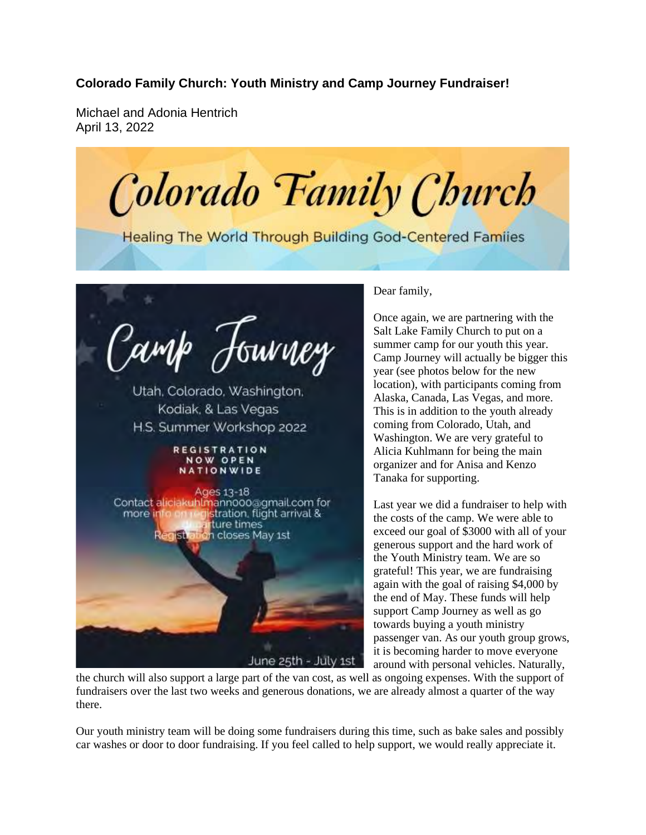## **Colorado Family Church: Youth Ministry and Camp Journey Fundraiser!**

Michael and Adonia Hentrich April 13, 2022

Colorado Family Church

**Healing The World Through Building God-Centered Familes** 



## Dear family,

Once again, we are partnering with the Salt Lake Family Church to put on a summer camp for our youth this year. Camp Journey will actually be bigger this year (see photos below for the new location), with participants coming from Alaska, Canada, Las Vegas, and more. This is in addition to the youth already coming from Colorado, Utah, and Washington. We are very grateful to Alicia Kuhlmann for being the main organizer and for Anisa and Kenzo Tanaka for supporting.

Last year we did a fundraiser to help with the costs of the camp. We were able to exceed our goal of \$3000 with all of your generous support and the hard work of the Youth Ministry team. We are so grateful! This year, we are fundraising again with the goal of raising \$4,000 by the end of May. These funds will help support Camp Journey as well as go towards buying a youth ministry passenger van. As our youth group grows, it is becoming harder to move everyone around with personal vehicles. Naturally,

the church will also support a large part of the van cost, as well as ongoing expenses. With the support of fundraisers over the last two weeks and generous donations, we are already almost a quarter of the way there.

Our youth ministry team will be doing some fundraisers during this time, such as bake sales and possibly car washes or door to door fundraising. If you feel called to help support, we would really appreciate it.